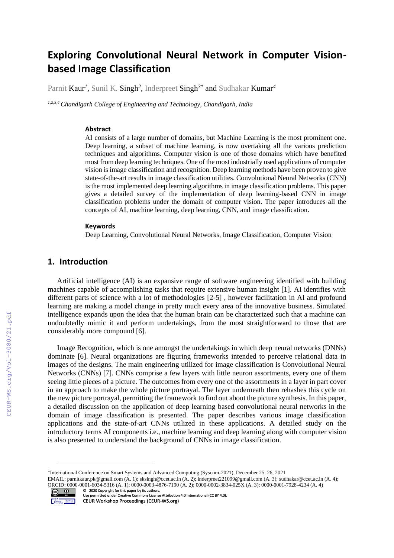# **Exploring Convolutional Neural Network in Computer Visionbased Image Classification**

Parnit Kaur*<sup>1</sup>* , Sunil K. Singh*<sup>2</sup>* , Inderpreet Singh*3\** and Sudhakar Kumar*<sup>4</sup>*

*1,2,3,4 Chandigarh College of Engineering and Technology, Chandigarh, India*

#### **Abstract**

AI consists of a large number of domains, but Machine Learning is the most prominent one. Deep learning, a subset of machine learning, is now overtaking all the various prediction techniques and algorithms. Computer vision is one of those domains which have benefited most from deep learning techniques. One of the most industrially used applications of computer vision is image classification and recognition. Deep learning methods have been proven to give state-of-the-art results in image classification utilities. Convolutional Neural Networks (CNN) is the most implemented deep learning algorithms in image classification problems. This paper gives a detailed survey of the implementation of deep learning-based CNN in image classification problems under the domain of computer vision. The paper introduces all the concepts of AI, machine learning, deep learning, CNN, and image classification.

#### **Keywords**

Deep Learning, Convolutional Neural Networks, Image Classification, Computer Vision

# **1. Introduction**

Artificial intelligence (AI) is an expansive range of software engineering identified with building machines capable of accomplishing tasks that require extensive human insight [1]. AI identifies with different parts of science with a lot of methodologies [2-5] , however facilitation in AI and profound learning are making a model change in pretty much every area of the innovative business. Simulated intelligence expands upon the idea that the human brain can be characterized such that a machine can undoubtedly mimic it and perform undertakings, from the most straightforward to those that are considerably more compound [6].

Image Recognition, which is one amongst the undertakings in which deep neural networks (DNNs) dominate [6]. Neural organizations are figuring frameworks intended to perceive relational data in images of the designs. The main engineering utilized for image classification is Convolutional Neural Networks (CNNs) [7]. CNNs comprise a few layers with little neuron assortments, every one of them seeing little pieces of a picture. The outcomes from every one of the assortments in a layer in part cover in an approach to make the whole picture portrayal. The layer underneath then rehashes this cycle on the new picture portrayal, permitting the framework to find out about the picture synthesis. In this paper, a detailed discussion on the application of deep learning based convolutional neural networks in the domain of image classification is presented. The paper describes various image classification applications and the state-of-art CNNs utilized in these applications. A detailed study on the introductory terms AI components i.e., machine learning and deep learning along with computer vision is also presented to understand the background of CNNs in image classification.

EMAIL: parnitkaur.pk@gmail.com (A. 1); sksingh@ccet.ac.in (A. 2); inderpreet221099@gmail.com (A. 3); sudhakar@ccet.ac.in (A. 4); ORCID: 0000-0001-6034-5316 (A. 1); 0000-0003-4876-7190 (A. 2); 0000-0002-3834-025X (A. 3); 0000-0001-7928-4234 (A. 4)<br>
© 2020 Copyright for this paper by its authors. ©️ 2020 Copyright for this paper by its authors.



CEUR-WS.org/Vol-3080/21.pdf

<sup>&</sup>lt;sup>1</sup>International Conference on Smart Systems and Advanced Computing (Syscom-2021), December 25-26, 2021

Use permitted under Creative Commons License Attribution 4.0 International (CC BY 4.0). CEUR Workshop Proceedings (CEUR-WS.org)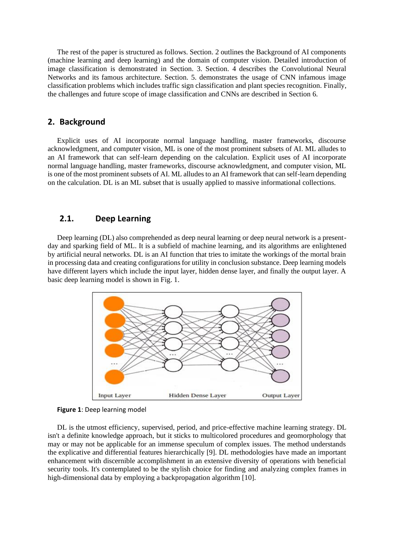The rest of the paper is structured as follows. Section. 2 outlines the Background of AI components (machine learning and deep learning) and the domain of computer vision. Detailed introduction of image classification is demonstrated in Section. 3. Section. 4 describes the Convolutional Neural Networks and its famous architecture. Section. 5. demonstrates the usage of CNN infamous image classification problems which includes traffic sign classification and plant species recognition. Finally, the challenges and future scope of image classification and CNNs are described in Section 6.

# **2. Background**

Explicit uses of AI incorporate normal language handling, master frameworks, discourse acknowledgment, and computer vision, ML is one of the most prominent subsets of AI. ML alludes to an AI framework that can self-learn depending on the calculation. Explicit uses of AI incorporate normal language handling, master frameworks, discourse acknowledgment, and computer vision, ML is one of the most prominent subsets of AI. ML alludes to an AI framework that can self-learn depending on the calculation. DL is an ML subset that is usually applied to massive informational collections.

# **2.1. Deep Learning**

Deep learning (DL) also comprehended as deep neural learning or deep neural network is a presentday and sparking field of ML. It is a subfield of machine learning, and its algorithms are enlightened by artificial neural networks. DL is an AI function that tries to imitate the workings of the mortal brain in processing data and creating configurations for utility in conclusion substance. Deep learning models have different layers which include the input layer, hidden dense layer, and finally the output layer. A basic deep learning model is shown in Fig. 1.



**Figure 1**: Deep learning model

DL is the utmost efficiency, supervised, period, and price-effective machine learning strategy. DL isn't a definite knowledge approach, but it sticks to multicolored procedures and geomorphology that may or may not be applicable for an immense speculum of complex issues. The method understands the explicative and differential features hierarchically [9]. DL methodologies have made an important enhancement with discernible accomplishment in an extensive diversity of operations with beneficial security tools. It's contemplated to be the stylish choice for finding and analyzing complex frames in high-dimensional data by employing a backpropagation algorithm [10].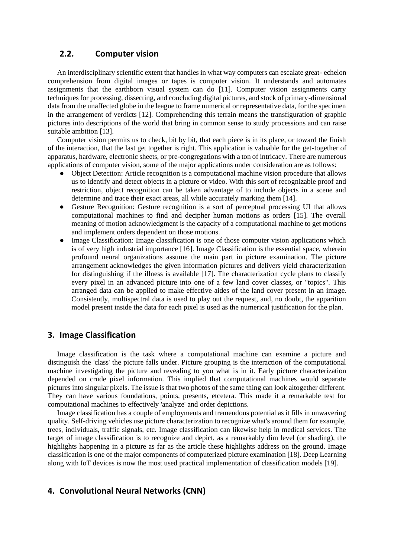# **2.2. Computer vision**

An interdisciplinary scientific extent that handles in what way computers can escalate great- echelon comprehension from digital images or tapes is computer vision. It understands and automates assignments that the earthborn visual system can do [11]. Computer vision assignments carry techniques for processing, dissecting, and concluding digital pictures, and stock of primary-dimensional data from the unaffected globe in the league to frame numerical or representative data, for the specimen in the arrangement of verdicts [12]. Comprehending this terrain means the transfiguration of graphic pictures into descriptions of the world that bring in common sense to study processions and can raise suitable ambition [13].

Computer vision permits us to check, bit by bit, that each piece is in its place, or toward the finish of the interaction, that the last get together is right. This application is valuable for the get-together of apparatus, hardware, electronic sheets, or pre-congregations with a ton of intricacy. There are numerous applications of computer vision, some of the major applications under consideration are as follows:

- Object Detection: Article recognition is a computational machine vision procedure that allows us to identify and detect objects in a picture or video. With this sort of recognizable proof and restriction, object recognition can be taken advantage of to include objects in a scene and determine and trace their exact areas, all while accurately marking them [14].
- Gesture Recognition: Gesture recognition is a sort of perceptual processing UI that allows computational machines to find and decipher human motions as orders [15]. The overall meaning of motion acknowledgment is the capacity of a computational machine to get motions and implement orders dependent on those motions.
- Image Classification: Image classification is one of those computer vision applications which is of very high industrial importance [16]. Image Classification is the essential space, wherein profound neural organizations assume the main part in picture examination. The picture arrangement acknowledges the given information pictures and delivers yield characterization for distinguishing if the illness is available [17]. The characterization cycle plans to classify every pixel in an advanced picture into one of a few land cover classes, or "topics". This arranged data can be applied to make effective aides of the land cover present in an image. Consistently, multispectral data is used to play out the request, and, no doubt, the apparition model present inside the data for each pixel is used as the numerical justification for the plan.

### **3. Image Classification**

Image classification is the task where a computational machine can examine a picture and distinguish the 'class' the picture falls under. Picture grouping is the interaction of the computational machine investigating the picture and revealing to you what is in it. Early picture characterization depended on crude pixel information. This implied that computational machines would separate pictures into singular pixels. The issue is that two photos of the same thing can look altogether different. They can have various foundations, points, presents, etcetera. This made it a remarkable test for computational machines to effectively 'analyze' and order depictions.

Image classification has a couple of employments and tremendous potential as it fills in unwavering quality. Self-driving vehicles use picture characterization to recognize what's around them for example, trees, individuals, traffic signals, etc. Image classification can likewise help in medical services. The target of image classification is to recognize and depict, as a remarkably dim level (or shading), the highlights happening in a picture as far as the article these highlights address on the ground. Image classification is one of the major components of computerized picture examination [18]. Deep Learning along with IoT devices is now the most used practical implementation of classification models [19].

## **4. Convolutional Neural Networks (CNN)**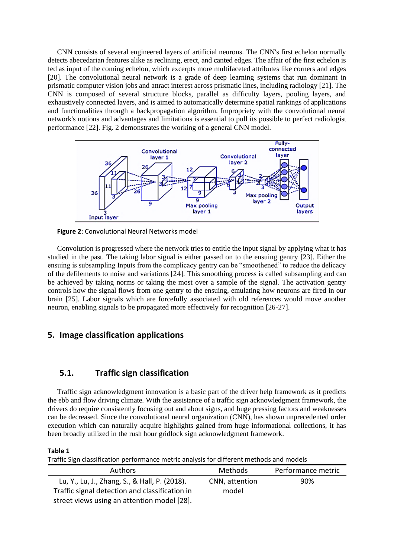CNN consists of several engineered layers of artificial neurons. The CNN's first echelon normally detects abecedarian features alike as reclining, erect, and canted edges. The affair of the first echelon is fed as input of the coming echelon, which excerpts more multifaceted attributes like corners and edges [20]. The convolutional neural network is a grade of deep learning systems that run dominant in prismatic computer vision jobs and attract interest across prismatic lines, including radiology [21]. The CNN is composed of several structure blocks, parallel as difficulty layers, pooling layers, and exhaustively connected layers, and is aimed to automatically determine spatial rankings of applications and functionalities through a backpropagation algorithm. Impropriety with the convolutional neural network's notions and advantages and limitations is essential to pull its possible to perfect radiologist performance [22]. Fig. 2 demonstrates the working of a general CNN model.



**Figure 2**: Convolutional Neural Networks model

Convolution is progressed where the network tries to entitle the input signal by applying what it has studied in the past. The taking labor signal is either passed on to the ensuing gentry [23]. Either the ensuing is subsampling Inputs from the complicacy gentry can be "smoothened" to reduce the delicacy of the defilements to noise and variations [24]. This smoothing process is called subsampling and can be achieved by taking norms or taking the most over a sample of the signal. The activation gentry controls how the signal flows from one gentry to the ensuing, emulating how neurons are fired in our brain [25]. Labor signals which are forcefully associated with old references would move another neuron, enabling signals to be propagated more effectively for recognition [26-27].

# **5. Image classification applications**

# **5.1. Traffic sign classification**

Traffic sign acknowledgment innovation is a basic part of the driver help framework as it predicts the ebb and flow driving climate. With the assistance of a traffic sign acknowledgment framework, the drivers do require consistently focusing out and about signs, and huge pressing factors and weaknesses can be decreased. Since the convolutional neural organization (CNN), has shown unprecedented order execution which can naturally acquire highlights gained from huge informational collections, it has been broadly utilized in the rush hour gridlock sign acknowledgment framework.

#### **Table 1**

Traffic Sign classification performance metric analysis for different methods and models

| <b>Authors</b>                                 | <b>Methods</b> | Performance metric |
|------------------------------------------------|----------------|--------------------|
| Lu, Y., Lu, J., Zhang, S., & Hall, P. (2018).  | CNN, attention | 90%                |
| Traffic signal detection and classification in | model          |                    |
| street views using an attention model [28].    |                |                    |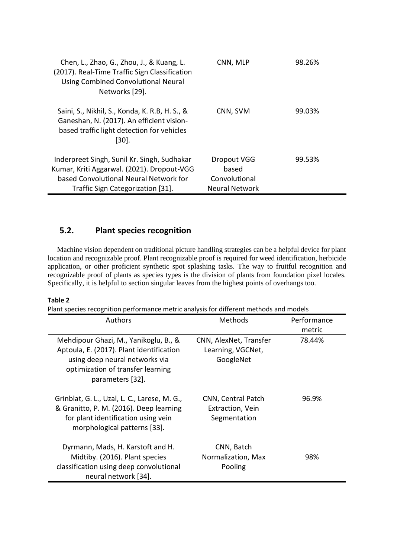| Chen, L., Zhao, G., Zhou, J., & Kuang, L.<br>(2017). Real-Time Traffic Sign Classification<br><b>Using Combined Convolutional Neural</b><br>Networks [29].               | CNN, MLP                                                              | 98.26% |
|--------------------------------------------------------------------------------------------------------------------------------------------------------------------------|-----------------------------------------------------------------------|--------|
| Saini, S., Nikhil, S., Konda, K. R.B, H. S., &<br>Ganeshan, N. (2017). An efficient vision-<br>based traffic light detection for vehicles<br>[30].                       | CNN, SVM                                                              | 99.03% |
| Inderpreet Singh, Sunil Kr. Singh, Sudhakar<br>Kumar, Kriti Aggarwal. (2021). Dropout-VGG<br>based Convolutional Neural Network for<br>Traffic Sign Categorization [31]. | <b>Dropout VGG</b><br>based<br>Convolutional<br><b>Neural Network</b> | 99.53% |

# **5.2. Plant species recognition**

Machine vision dependent on traditional picture handling strategies can be a helpful device for plant location and recognizable proof. Plant recognizable proof is required for weed identification, herbicide application, or other proficient synthetic spot splashing tasks. The way to fruitful recognition and recognizable proof of plants as species types is the division of plants from foundation pixel locales. Specifically, it is helpful to section singular leaves from the highest points of overhangs too.

#### **Table 2**

Plant species recognition performance metric analysis for different methods and models

| Authors                                                                                                                                                                      | Methods                                                  | Performance<br>metric |
|------------------------------------------------------------------------------------------------------------------------------------------------------------------------------|----------------------------------------------------------|-----------------------|
| Mehdipour Ghazi, M., Yanikoglu, B., &<br>Aptoula, E. (2017). Plant identification<br>using deep neural networks via<br>optimization of transfer learning<br>parameters [32]. | CNN, AlexNet, Transfer<br>Learning, VGCNet,<br>GoogleNet | 78.44%                |
| Grinblat, G. L., Uzal, L. C., Larese, M. G.,<br>& Granitto, P. M. (2016). Deep learning<br>for plant identification using vein<br>morphological patterns [33].               | CNN, Central Patch<br>Extraction, Vein<br>Segmentation   | 96.9%                 |
| Dyrmann, Mads, H. Karstoft and H.<br>Midtiby. (2016). Plant species<br>classification using deep convolutional<br>neural network [34].                                       | CNN, Batch<br>Normalization, Max<br>Pooling              | 98%                   |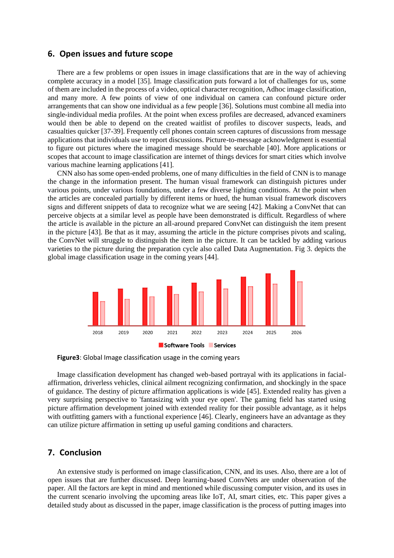#### **6. Open issues and future scope**

There are a few problems or open issues in image classifications that are in the way of achieving complete accuracy in a model [35]. Image classification puts forward a lot of challenges for us, some of them are included in the process of a video, optical character recognition, Adhoc image classification, and many more. A few points of view of one individual on camera can confound picture order arrangements that can show one individual as a few people [36]. Solutions must combine all media into single-individual media profiles. At the point when excess profiles are decreased, advanced examiners would then be able to depend on the created waitlist of profiles to discover suspects, leads, and casualties quicker [37-39]. Frequently cell phones contain screen captures of discussions from message applications that individuals use to report discussions. Picture-to-message acknowledgment is essential to figure out pictures where the imagined message should be searchable [40]. More applications or scopes that account to image classification are internet of things devices for smart cities which involve various machine learning applications [41].

CNN also has some open-ended problems, one of many difficulties in the field of CNN is to manage the change in the information present. The human visual framework can distinguish pictures under various points, under various foundations, under a few diverse lighting conditions. At the point when the articles are concealed partially by different items or hued, the human visual framework discovers signs and different snippets of data to recognize what we are seeing [42]. Making a ConvNet that can perceive objects at a similar level as people have been demonstrated is difficult. Regardless of where the article is available in the picture an all-around prepared ConvNet can distinguish the item present in the picture [43]. Be that as it may, assuming the article in the picture comprises pivots and scaling, the ConvNet will struggle to distinguish the item in the picture. It can be tackled by adding various varieties to the picture during the preparation cycle also called Data Augmentation. Fig 3. depicts the global image classification usage in the coming years [44].



**Figure3**: Global Image classification usage in the coming years

Image classification development has changed web-based portrayal with its applications in facialaffirmation, driverless vehicles, clinical ailment recognizing confirmation, and shockingly in the space of guidance. The destiny of picture affirmation applications is wide [45]. Extended reality has given a very surprising perspective to 'fantasizing with your eye open'. The gaming field has started using picture affirmation development joined with extended reality for their possible advantage, as it helps with outfitting gamers with a functional experience [46]. Clearly, engineers have an advantage as they can utilize picture affirmation in setting up useful gaming conditions and characters.

# **7. Conclusion**

An extensive study is performed on image classification, CNN, and its uses. Also, there are a lot of open issues that are further discussed. Deep learning-based ConvNets are under observation of the paper. All the factors are kept in mind and mentioned while discussing computer vision, and its uses in the current scenario involving the upcoming areas like IoT, AI, smart cities, etc. This paper gives a detailed study about as discussed in the paper, image classification is the process of putting images into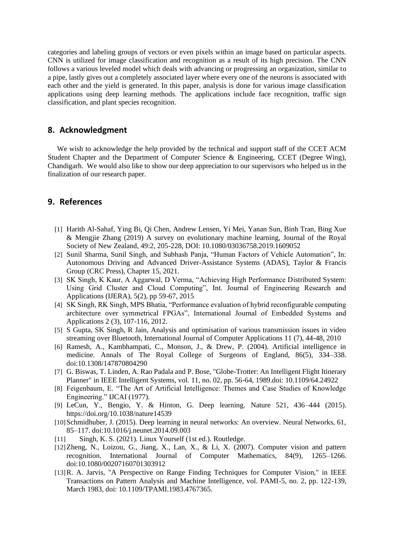categories and labeling groups of vectors or even pixels within an image based on particular aspects. CNN is utilized for image classification and recognition as a result of its high precision. The CNN follows a various leveled model which deals with advancing or progressing an organization, similar to a pipe, lastly gives out a completely associated layer where every one of the neurons is associated with each other and the yield is generated. In this paper, analysis is done for various image classification applications using deep learning methods. The applications include face recognition, traffic sign classification, and plant species recognition.

# **8. Acknowledgment**

We wish to acknowledge the help provided by the technical and support staff of the CCET ACM Student Chapter and the Department of Computer Science & Engineering, CCET (Degree Wing), Chandigarh. We would also like to show our deep appreciation to our supervisors who helped us in the finalization of our research paper.

# **9. References**

- [1] Harith Al-Sahaf, Ying Bi, Qi Chen, Andrew Lensen, Yi Mei, Yanan Sun, Binh Tran, Bing Xue & Mengjie Zhang (2019) A survey on evolutionary machine learning, Journal of the Royal Society of New Zealand, 49:2, 205-228, DOI: 10.1080/03036758.2019.1609052
- [2] Sunil Sharma, Sunil Singh, and Subhash Panja, "Human Factors of Vehicle Automation", In: Autonomous Driving and Advanced Driver-Assistance Systems (ADAS), Taylor & Francis Group (CRC Press), Chapter 15, 2021.
- [3] SK Singh, K Kaur, A Aggarwal, D Verma, "Achieving High Performance Distributed System: Using Grid Cluster and Cloud Computing", Int. Journal of Engineering Research and Applications (IJERA), 5(2), pp 59-67, 2015
- [4] SK Singh, RK Singh, MPS Bhatia, "Performance evaluation of hybrid reconfigurable computing architecture over symmetrical FPGAs", International Journal of Embedded Systems and Applications 2 (3), 107-116, 2012.
- [5] S Gupta, SK Singh, R Jain, Analysis and optimisation of various transmission issues in video streaming over Bluetooth, International Journal of Computer Applications 11 (7), 44-48, 2010
- [6] Ramesh, A., Kambhampati, C., Monson, J., & Drew, P. (2004). Artificial intelligence in medicine. Annals of The Royal College of Surgeons of England, 86(5), 334–338. doi:10.1308/147870804290
- [7] G. Biswas, T. Linden, A. Rao Padala and P. Bose, "Globe-Trotter: An Intelligent Flight Itinerary Planner" in IEEE Intelligent Systems, vol. 11, no. 02, pp. 56-64, 1989.doi: 10.1109/64.24922
- [8] Feigenbaum, E. "The Art of Artificial Intelligence: Themes and Case Studies of Knowledge Engineering." IJCAI (1977).
- [9] LeCun, Y., Bengio, Y. & Hinton, G. Deep learning. Nature 521, 436–444 (2015). https://doi.org/10.1038/nature14539
- [10]Schmidhuber, J. (2015). Deep learning in neural networks: An overview. Neural Networks, 61, 85–117. doi:10.1016/j.neunet.2014.09.003
- [11] Singh, K. S. (2021). Linux Yourself (1st ed.). Routledge.
- [12]Zheng, N., Loizou, G., Jiang, X., Lan, X., & Li, X. (2007). Computer vision and pattern recognition. International Journal of Computer Mathematics, 84(9), 1265–1266. doi:10.1080/00207160701303912
- [13]R. A. Jarvis, "A Perspective on Range Finding Techniques for Computer Vision," in IEEE Transactions on Pattern Analysis and Machine Intelligence, vol. PAMI-5, no. 2, pp. 122-139, March 1983, doi: 10.1109/TPAMI.1983.4767365.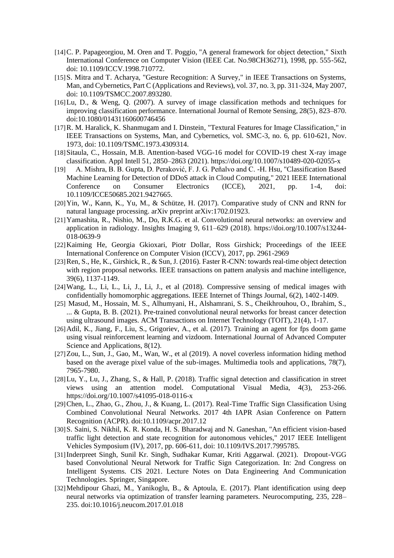- [14]C. P. Papageorgiou, M. Oren and T. Poggio, "A general framework for object detection," Sixth International Conference on Computer Vision (IEEE Cat. No.98CH36271), 1998, pp. 555-562, doi: 10.1109/ICCV.1998.710772.
- [15]S. Mitra and T. Acharya, "Gesture Recognition: A Survey," in IEEE Transactions on Systems, Man, and Cybernetics, Part C (Applications and Reviews), vol. 37, no. 3, pp. 311-324, May 2007, doi: 10.1109/TSMCC.2007.893280.
- [16]Lu, D., & Weng, Q. (2007). A survey of image classification methods and techniques for improving classification performance. International Journal of Remote Sensing, 28(5), 823–870. doi:10.1080/01431160600746456
- [17] R. M. Haralick, K. Shanmugam and I. Dinstein, "Textural Features for Image Classification," in IEEE Transactions on Systems, Man, and Cybernetics, vol. SMC-3, no. 6, pp. 610-621, Nov. 1973, doi: 10.1109/TSMC.1973.4309314.
- [18]Sitaula, C., Hossain, M.B. Attention-based VGG-16 model for COVID-19 chest X-ray image classification. Appl Intell 51, 2850–2863 (2021). https://doi.org/10.1007/s10489-020-02055-x
- [19] A. Mishra, B. B. Gupta, D. Peraković, F. J. G. Peñalvo and C. -H. Hsu, "Classification Based Machine Learning for Detection of DDoS attack in Cloud Computing," 2021 IEEE International Conference on Consumer Electronics (ICCE), 2021, pp. 1-4, doi: 10.1109/ICCE50685.2021.9427665.
- [20]Yin, W., Kann, K., Yu, M., & Schütze, H. (2017). Comparative study of CNN and RNN for natural language processing. arXiv preprint arXiv:1702.01923.
- [21]Yamashita, R., Nishio, M., Do, R.K.G. et al. Convolutional neural networks: an overview and application in radiology. Insights Imaging 9, 611–629 (2018). https://doi.org/10.1007/s13244- 018-0639-9
- [22]Kaiming He, Georgia Gkioxari, Piotr Dollar, Ross Girshick; Proceedings of the IEEE International Conference on Computer Vision (ICCV), 2017, pp. 2961-2969
- [23]Ren, S., He, K., Girshick, R., & Sun, J. (2016). Faster R-CNN: towards real-time object detection with region proposal networks. IEEE transactions on pattern analysis and machine intelligence, 39(6), 1137-1149.
- [24]Wang, L., Li, L., Li, J., Li, J., et al (2018). Compressive sensing of medical images with confidentially homomorphic aggregations. IEEE Internet of Things Journal, 6(2), 1402-1409.
- [25] Masud, M., Hossain, M. S., Alhumyani, H., Alshamrani, S. S., Cheikhrouhou, O., Ibrahim, S., ... & Gupta, B. B. (2021). Pre-trained convolutional neural networks for breast cancer detection using ultrasound images. ACM Transactions on Internet Technology (TOIT), 21(4), 1-17.
- [26] Adil, K., Jiang, F., Liu, S., Grigoriev, A., et al. (2017). Training an agent for fps doom game using visual reinforcement learning and vizdoom. International Journal of Advanced Computer Science and Applications, 8(12).
- [27] Zou, L., Sun, J., Gao, M., Wan, W., et al (2019). A novel coverless information hiding method based on the average pixel value of the sub-images. Multimedia tools and applications, 78(7), 7965-7980.
- [28]Lu, Y., Lu, J., Zhang, S., & Hall, P. (2018). Traffic signal detection and classification in street views using an attention model. Computational Visual Media, 4(3), 253-266. https://doi.org/10.1007/s41095-018-0116-x
- [29]Chen, L., Zhao, G., Zhou, J., & Kuang, L. (2017). Real-Time Traffic Sign Classification Using Combined Convolutional Neural Networks. 2017 4th IAPR Asian Conference on Pattern Recognition (ACPR). doi:10.1109/acpr.2017.12
- [30]S. Saini, S. Nikhil, K. R. Konda, H. S. Bharadwaj and N. Ganeshan, "An efficient vision-based traffic light detection and state recognition for autonomous vehicles," 2017 IEEE Intelligent Vehicles Symposium (IV), 2017, pp. 606-611, doi: 10.1109/IVS.2017.7995785.
- [31]Inderpreet Singh, Sunil Kr. Singh, Sudhakar Kumar, Kriti Aggarwal. (2021). Dropout-VGG based Convolutional Neural Network for Traffic Sign Categorization. In: 2nd Congress on Intelligent Systems. CIS 2021. Lecture Notes on Data Engineering And Communication Technologies. Springer, Singapore.
- [32]Mehdipour Ghazi, M., Yanikoglu, B., & Aptoula, E. (2017). Plant identification using deep neural networks via optimization of transfer learning parameters. Neurocomputing, 235, 228– 235. doi:10.1016/j.neucom.2017.01.018